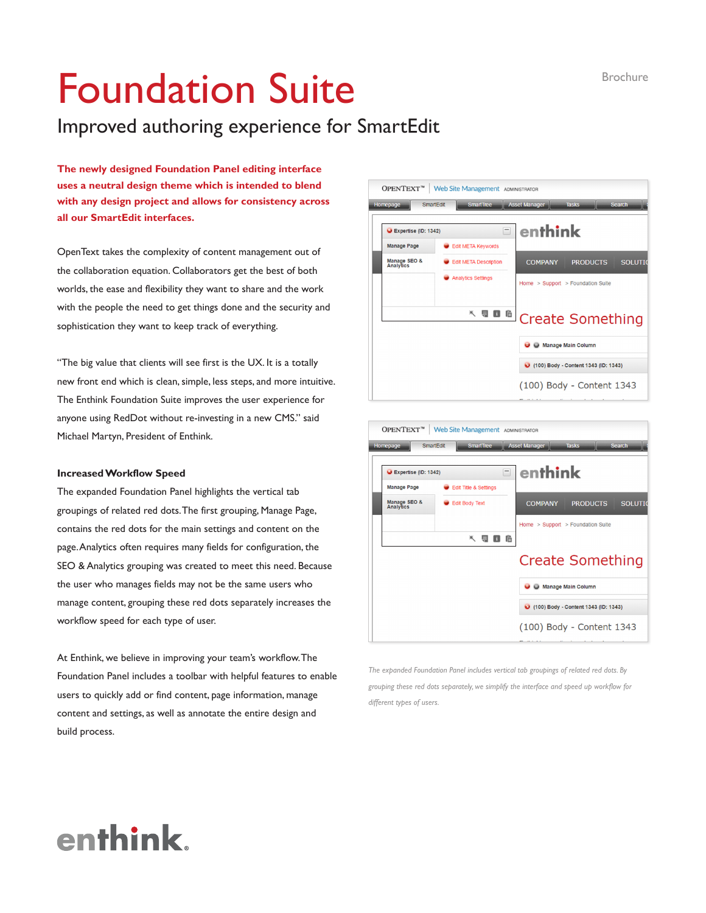# Foundation Suite

### Improved authoring experience for SmartEdit

**The newly designed Foundation Panel editing interface uses a neutral design theme which is intended to blend with any design project and allows for consistency across all our SmartEdit interfaces.**

OpenText takes the complexity of content management out of the collaboration equation. Collaborators get the best of both worlds, the ease and flexibility they want to share and the work with the people the need to get things done and the security and sophistication they want to keep track of everything.

"The big value that clients will see first is the UX. It is a totally new front end which is clean, simple, less steps, and more intuitive. The Enthink Foundation Suite improves the user experience for anyone using RedDot without re-investing in a new CMS." said Michael Martyn, President of Enthink.

#### **Increased Workflow Speed**

The expanded Foundation Panel highlights the vertical tab groupings of related red dots. The first grouping, Manage Page, contains the red dots for the main settings and content on the page. Analytics often requires many fields for configuration, the SEO & Analytics grouping was created to meet this need. Because the user who manages fields may not be the same users who manage content, grouping these red dots separately increases the workflow speed for each type of user.

At Enthink, we believe in improving your team's workflow. The Foundation Panel includes a toolbar with helpful features to enable users to quickly add or find content, page information, manage content and settings, as well as annotate the entire design and build process.





*The expanded Foundation Panel includes vertical tab groupings of related red dots. By grouping these red dots separately, we simplify the interface and speed up workflow for different types of users.*

## enthink.